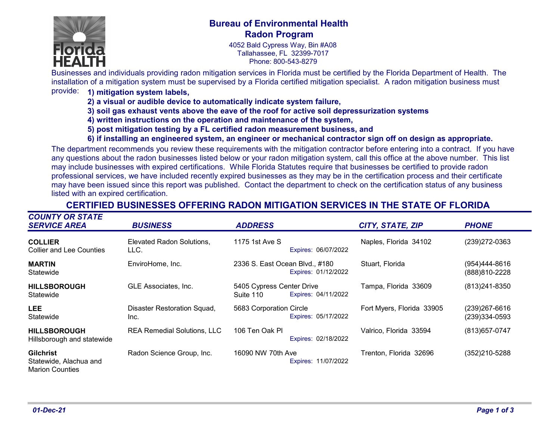

### **Bureau of Environmental Health Radon Program**

4052 Bald Cypress Way, Bin #A08 Tallahassee, FL 32399-7017 Phone: 800-543-8279

Businesses and individuals providing radon mitigation services in Florida must be certified by the Florida Department of Health. The installation of a mitigation system must be supervised by a Florida certified mitigation specialist. A radon mitigation business must

#### provide: **1) mitigation system labels,**

- **2) a visual or audible device to automatically indicate system failure,**
- **3) soil gas exhaust vents above the eave of the roof for active soil depressurization systems**
- **4) written instructions on the operation and maintenance of the system,**
- **5) post mitigation testing by a FL certified radon measurement business, and**
- **6) if installing an engineered system, an engineer or mechanical contractor sign off on design as appropriate.**

The department recommends you review these requirements with the mitigation contractor before entering into a contract. If you have any questions about the radon businesses listed below or your radon mitigation system, call this office at the above number. This list may include businesses with expired certifications. While Florida Statutes require that businesses be certified to provide radon professional services, we have included recently expired businesses as they may be in the certification process and their certificate may have been issued since this report was published. Contact the department to check on the certification status of any business listed with an expired certification.

| <b>COUNTY OR STATE</b><br><b>SERVICE AREA</b>                        | <b>BUSINESS</b>                     | <b>ADDRESS</b>                                                | CITY, STATE, ZIP          | <b>PHONE</b>                       |
|----------------------------------------------------------------------|-------------------------------------|---------------------------------------------------------------|---------------------------|------------------------------------|
| <b>COLLIER</b><br><b>Collier and Lee Counties</b>                    | Elevated Radon Solutions,<br>LLC.   | 1175 1st Ave S<br>Expires: 06/07/2022                         | Naples, Florida 34102     | (239) 272-0363                     |
| <b>MARTIN</b><br>Statewide                                           | EnviroHome, Inc.                    | 2336 S. East Ocean Blvd., #180<br>Expires: 01/12/2022         | Stuart, Florida           | $(954)444-8616$<br>(888) 810-2228  |
| <b>HILLSBOROUGH</b><br>Statewide                                     | GLE Associates, Inc.                | 5405 Cypress Center Drive<br>Expires: 04/11/2022<br>Suite 110 | Tampa, Florida 33609      | (813) 241-8350                     |
| <b>LEE</b><br>Statewide                                              | Disaster Restoration Squad,<br>Inc. | 5683 Corporation Circle<br>Expires: 05/17/2022                | Fort Myers, Florida 33905 | $(239)267 - 6616$<br>(239)334-0593 |
| <b>HILLSBOROUGH</b><br>Hillsborough and statewide                    | <b>REA Remedial Solutions, LLC</b>  | 106 Ten Oak Pl<br>Expires: 02/18/2022                         | Valrico, Florida 33594    | (813) 657-0747                     |
| <b>Gilchrist</b><br>Statewide, Alachua and<br><b>Marion Counties</b> | Radon Science Group, Inc.           | 16090 NW 70th Ave<br>Expires: 11/07/2022                      | Trenton, Florida 32696    | (352)210-5288                      |

### **CERTIFIED BUSINESSES OFFERING RADON MITIGATION SERVICES IN THE STATE OF FLORIDA**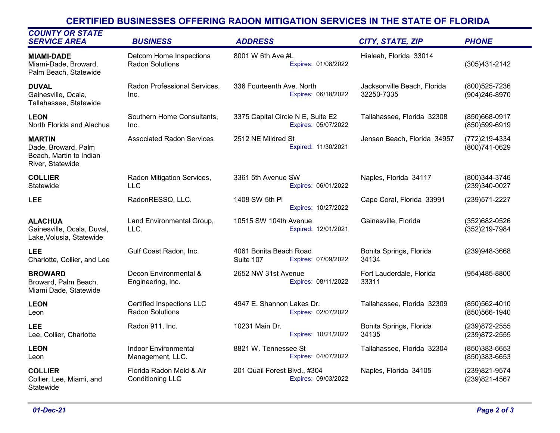# **CERTIFIED BUSINESSES OFFERING RADON MITIGATION SERVICES IN THE STATE OF FLORIDA**

| <b>COUNTY OR STATE</b><br><b>SERVICE AREA</b>                                       | <b>BUSINESS</b>                                     | <b>ADDRESS</b>                                             | CITY, STATE, ZIP                          | <b>PHONE</b>                     |
|-------------------------------------------------------------------------------------|-----------------------------------------------------|------------------------------------------------------------|-------------------------------------------|----------------------------------|
| <b>MIAMI-DADE</b><br>Miami-Dade, Broward,<br>Palm Beach, Statewide                  | Detcom Home Inspections<br><b>Radon Solutions</b>   | 8001 W 6th Ave #L<br>Expires: 01/08/2022                   | Hialeah, Florida 33014                    | (305)431-2142                    |
| <b>DUVAL</b><br>Gainesville, Ocala,<br>Tallahassee, Statewide                       | Radon Professional Services,<br>Inc.                | 336 Fourteenth Ave. North<br>Expires: 06/18/2022           | Jacksonville Beach, Florida<br>32250-7335 | (800) 525-7236<br>(904)246-8970  |
| <b>LEON</b><br>North Florida and Alachua                                            | Southern Home Consultants,<br>Inc.                  | 3375 Capital Circle N E, Suite E2<br>Expires: 05/07/2022   | Tallahassee, Florida 32308                | (850)668-0917<br>(850)599-6919   |
| <b>MARTIN</b><br>Dade, Broward, Palm<br>Beach, Martin to Indian<br>River, Statewide | <b>Associated Radon Services</b>                    | 2512 NE Mildred St<br>Expired: 11/30/2021                  | Jensen Beach, Florida 34957               | (772)219-4334<br>(800) 741-0629  |
| <b>COLLIER</b><br>Statewide                                                         | Radon Mitigation Services,<br><b>LLC</b>            | 3361 5th Avenue SW<br>Expires: 06/01/2022                  | Naples, Florida 34117                     | (800)344-3746<br>(239)340-0027   |
| <b>LEE</b>                                                                          | RadonRESSQ, LLC.                                    | 1408 SW 5th PI<br>Expires: 10/27/2022                      | Cape Coral, Florida 33991                 | (239) 571-2227                   |
| <b>ALACHUA</b><br>Gainesville, Ocala, Duval,<br>Lake, Volusia, Statewide            | Land Environmental Group,<br>LLC.                   | 10515 SW 104th Avenue<br>Expired: 12/01/2021               | Gainesville, Florida                      | (352) 682-0526<br>(352)219-7984  |
| <b>LEE</b><br>Charlotte, Collier, and Lee                                           | Gulf Coast Radon, Inc.                              | 4061 Bonita Beach Road<br>Expires: 07/09/2022<br>Suite 107 | Bonita Springs, Florida<br>34134          | (239)948-3668                    |
| <b>BROWARD</b><br>Broward, Palm Beach,<br>Miami Dade, Statewide                     | Decon Environmental &<br>Engineering, Inc.          | 2652 NW 31st Avenue<br>Expires: 08/11/2022                 | Fort Lauderdale, Florida<br>33311         | (954)485-8800                    |
| <b>LEON</b><br>Leon                                                                 | Certified Inspections LLC<br><b>Radon Solutions</b> | 4947 E. Shannon Lakes Dr.<br>Expires: 02/07/2022           | Tallahassee, Florida 32309                | (850) 562-4010<br>(850) 566-1940 |
| <b>LEE</b><br>Lee, Collier, Charlotte                                               | Radon 911, Inc.                                     | 10231 Main Dr.<br>Expires: 10/21/2022                      | Bonita Springs, Florida<br>34135          | (239) 872-2555<br>(239) 872-2555 |
| <b>LEON</b><br>Leon                                                                 | <b>Indoor Environmental</b><br>Management, LLC.     | 8821 W. Tennessee St<br>Expires: 04/07/2022                | Tallahassee, Florida 32304                | (850)383-6653<br>(850)383-6653   |
| <b>COLLIER</b><br>Collier, Lee, Miami, and<br>Statewide                             | Florida Radon Mold & Air<br><b>Conditioning LLC</b> | 201 Quail Forest Blvd., #304<br>Expires: 09/03/2022        | Naples, Florida 34105                     | (239)821-9574<br>(239)821-4567   |